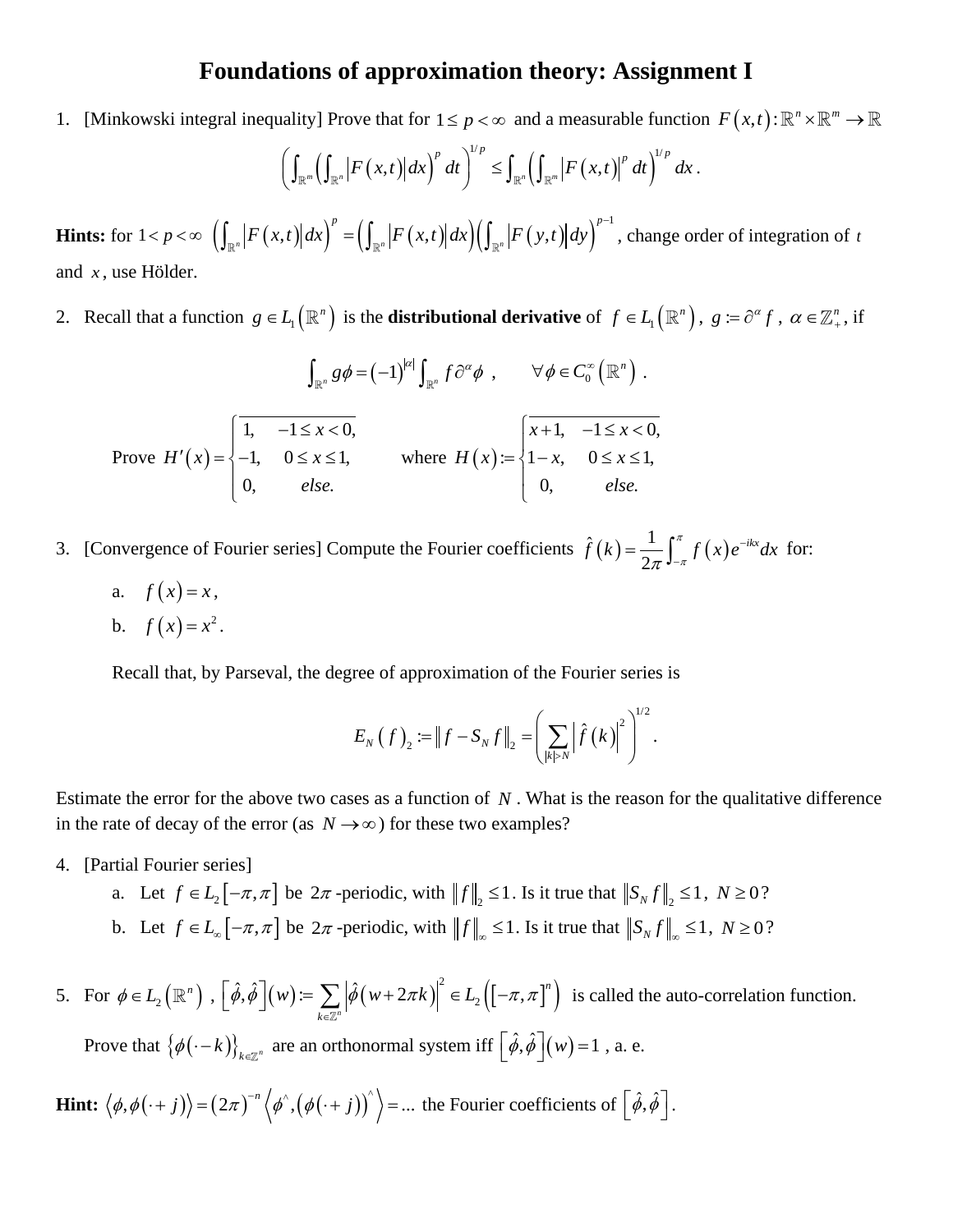## **Foundations of approximation theory: Assignment I**

1. [Minkowski integral inequality] Prove that for  $1 \le p < \infty$  and a measurable function  $F(x,t): \mathbb{R}^n \times \mathbb{R}^m \to \mathbb{R}$ 

uality] Prove that for 
$$
1 \le p < \infty
$$
 and a measurable function  
\n
$$
\left(\int_{\mathbb{R}^m} \left(\int_{\mathbb{R}^n} \left|F(x,t)\right| dx\right)^p dt\right)^{1/p} \le \int_{\mathbb{R}^n} \left(\int_{\mathbb{R}^m} \left|F(x,t)\right|^p dt\right)^{1/p} dx.
$$

**Hints:** for  $1 < p < \infty$   $\left( \int_{\mathbb{R}^n} \left| F(x,t) \right| dx \right)^p = \left( \int_{\mathbb{R}^n} \left| F(x,t) \right| dx \right) \left( \int_{\mathbb{R}^n} \left| F(y,t) \right| dy \right)^{p-1}$  $\int_{\mathbb{R}^n} \bigl| F \bigl( x , t \bigr) \bigr| dx \Bigr)^p = \Bigl( \int_{\mathbb{R}^n} \bigl| F \bigl( x , t \bigr) \bigr| dx \Bigr) \Bigl( \int_{\mathbb{R}^n} \bigl| F \bigl( y , t \bigr) \bigr| \Bigr).$  $F(x,t) | dx \Big)^p = \Big( \int_{\mathbb{R}^n} \Big| F(x,t) \Big| dx \Big) \Big( \int_{\mathbb{R}^n} \Big| F(y,t) \Big| dy \Big)^p$ −  $\left(\int_{\mathbb{R}^n} \left(\int_{\mathbb{R}^n} |F(x,t)| dx\right) dt\right) \leq \int_{\mathbb{R}^n} \left(\int_{\mathbb{R}^n} |F(x,t)| dx\right)^p$ <br> $\int_{\mathbb{R}^n} |F(x,t)| dx \bigg)^p = \left(\int_{\mathbb{R}^n} |F(x,t)| dx\right) \left(\int_{\mathbb{R}^n} |F(y,t)| dy\right)$ , change order of integration of *t* and *x* , use Hölder.

2. Recall that a function  $g \in L_1(\mathbb{R}^n)$  is the **distributional derivative** of  $f \in L_1(\mathbb{R}^n)$ ,  $g := \partial^{\alpha} f$ ,  $\alpha \in \mathbb{Z}_+^n$ , if

$$
\int_{\mathbb{R}^n} g\phi = (-1)^{|\alpha|} \int_{\mathbb{R}^n} f\partial^{\alpha} \phi , \qquad \forall \phi \in C_0^{\infty}(\mathbb{R}^n) .
$$
  
Prove  $H'(x) = \begin{cases} 1, & -1 \le x < 0, \\ -1, & 0 \le x \le 1, \\ 0, & else. \end{cases}$  where  $H(x) := \begin{cases} \overline{x+1, & -1 \le x < 0, \\ 1-x, & 0 \le x \le 1, \\ 0, & else. \end{cases}$ 

3. [Convergence of Fourier series] Compute the Fourier coefficients  $\hat{f}(k) = \frac{1}{2\pi} \int_0^{\pi} f(x) dx$  $\hat{f}(k) = \frac{1}{2\pi} \int_{-\pi}^{\pi} f(x) e^{-ikx} dx$  $\pi^{\scriptscriptstyle \sf J-\pi}$ −  $=\frac{1}{2\pi}\int_{-\pi}^{\pi}f(x)e^{-ikx}dx$  for:

- a.  $f(x) = x$ ,
- b.  $f(x) = x^2$ .

Recall that, by Parseval, the degree of approximation of the Fourier series is

$$
E_N(f)_2 := ||f - S_N f||_2 = \left(\sum_{|k|>N} |\hat{f}(k)|^2\right)^{1/2}.
$$

Estimate the error for the above two cases as a function of *N* . What is the reason for the qualitative difference in the rate of decay of the error (as  $N \rightarrow \infty$ ) for these two examples?

- 4. [Partial Fourier series]
	- a. Let  $f \in L_2[-\pi, \pi]$  be  $2\pi$ -periodic, with  $||f||_2 \le 1$ . Is it true that  $||S_N f||_2 \le 1$ ,  $N \ge 0$ ? b. Let  $f \in L_{\infty} \left[ -\pi, \pi \right]$  be  $2\pi$ -periodic, with  $||f||_{\infty} \leq 1$ . Is it true that  $||S_N f||_{\infty} \leq 1$ ,  $N \geq 0$ ?
- 5. For  $\phi \in L_2(\mathbb{R}^n)$ ,  $\left[\hat{\phi}, \hat{\phi}\right](w) := \sum \left|\hat{\phi}(w + 2\pi k)\right|^2 \in L_2([-\pi, \pi]^n)$  $\hat{\phi}, \hat{\phi}\left[(w) \coloneqq \sum_{k \in \mathbb{Z}^n} \left|\hat{\phi}\left(w + 2\pi k\right)\right|^2 \in L_2\left(\left[-\pi, \frac{1}{2}\right)\right]$ *n*  $\left[\hat{\phi}, \hat{\phi}\right](w) := \sum_{k \in \mathbb{Z}^n} \left|\hat{\phi}\left(w + 2\pi k\right)\right|^2 \in L_2\left(\left[-\pi, \pi\right]^n\right)$  is called the auto-correlation function. Prove that  $\{\phi(-k)\}_{k \in \mathbb{Z}^n}$  are an orthonormal system iff  $\left[\hat{\phi}, \hat{\phi}\right](w) = 1$ , a. e.

**Hint:** 
$$
\langle \phi, \phi(\cdot + j) \rangle = (2\pi)^{-n} \langle \phi^{\hat{}}}, (\phi(\cdot + j))^{\hat{}} \rangle = \dots
$$
 the Fourier coefficients of  $\left[\hat{\phi}, \hat{\phi}\right]$ .